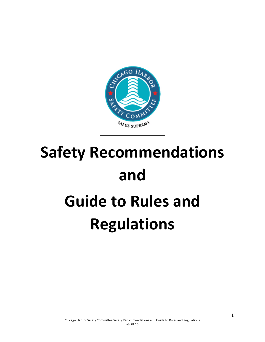

# **Safety Recommendations and Guide to Rules and Regulations**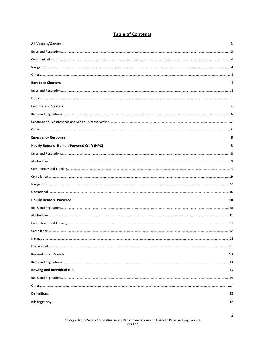#### **Table of Contents**

| All Vessels/General                      | 3  |
|------------------------------------------|----|
|                                          |    |
|                                          |    |
|                                          |    |
|                                          |    |
| <b>Bareboat Charters</b>                 |    |
|                                          |    |
|                                          |    |
| <b>Commercial Vessels</b>                | 6  |
|                                          |    |
|                                          |    |
|                                          |    |
| <b>Emergency Response</b>                | 8  |
| Hourly Rentals-Human-Powered Craft (HPC) | 8  |
|                                          |    |
|                                          |    |
|                                          |    |
|                                          |    |
|                                          |    |
|                                          |    |
| <b>Hourly Rentals- Powered</b>           | 10 |
|                                          |    |
|                                          |    |
|                                          |    |
|                                          |    |
|                                          |    |
|                                          |    |
| <b>Recreational Vessels</b>              | 13 |
|                                          | 13 |
| <b>Rowing and Individual HPC</b>         | 14 |
|                                          |    |
|                                          |    |
| <b>Definitions</b>                       | 15 |
| <b>Bibliography</b>                      | 18 |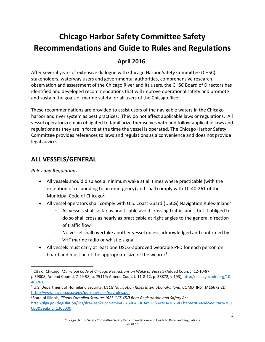## **Chicago Harbor Safety Committee Safety Recommendations and Guide to Rules and Regulations**

### **April 2016**

After several years of extensive dialogue with Chicago Harbor Safety Committee (CHSC) stakeholders, waterway users and governmental authorities, comprehensive research, observation and assessment of the Chicago River and its users, the CHSC Board of Directors has identified and developed recommendations that will improve operational safety and promote and sustain the goals of marine safety for all users of the Chicago River.

These recommendations are provided to assist users of the navigable waters in the Chicago harbor and river system as best practices. They do not affect applicable laws or regulations. All vessel operators remain obligated to familiarize themselves with and follow applicable laws and regulations as they are in force at the time the vessel is operated. The Chicago Harbor Safety Committee provides references to laws and regulations as a convenience and does not provide legal advice.

## **ALL VESSELS/GENERAL**

*Rules and Regulations*

 $\overline{\phantom{a}}$ 

- All vessels should displace a minimum wake at all times where practicable (with the exception of responding to an emergency) and shall comply with 10-40-261 of the Municipal Code of Chicago<sup>1</sup>
- All vessel operators shall comply with U.S. Coast Guard (USCG) Navigation Rules-Inland<sup>2</sup>
	- $\circ$  All vessels shall so far as practicable avoid crossing traffic lanes, but if obliged to do so shall cross as nearly as practicable at right angles to the general direction of traffic flow
	- o No vessel shall overtake another vessel unless acknowledged and confirmed by VHF marine radio or whistle signal
- All vessels must carry at least one USCG-approved wearable PFD for each person on board and must be of the appropriate size of the wearer<sup>3</sup>

<sup>1</sup> City of Chicago, *Municipal Code of Chicago Restrictions on Wake of Vessels* (Added Coun. J. 12-10-97, p.59008; Amend Coun. J. 7-29-98, p. 75119; Amend Coun. J. 11-8-12, p. 38872, § 193), [http://chicagocode.org/10-](http://chicagocode.org/10-40-261) [40-261](http://chicagocode.org/10-40-261)

<sup>2</sup> U.S. Department of Homeland Security, *USCG Navigation Rules International-Inland*, COMDTINST M16672.2D, <http://www.navcen.uscg.gov/pdf/navrules/navrules.pdf>

<sup>3</sup> State of Illinois, *Illinois Compiled Statutes (625 ILCS 45/) Boat Registration and Safety Act,* [http://ilga.gov/legislation/ilcs/ilcs4.asp?DocName=062500450HArt.+II&ActID=1826&ChapterID=49&SeqStart=700](http://ilga.gov/legislation/ilcs/ilcs4.asp?DocName=062500450HArt.+II&ActID=1826&ChapterID=49&SeqStart=700000&SeqEnd=1300000) [000&SeqEnd=1300000](http://ilga.gov/legislation/ilcs/ilcs4.asp?DocName=062500450HArt.+II&ActID=1826&ChapterID=49&SeqStart=700000&SeqEnd=1300000)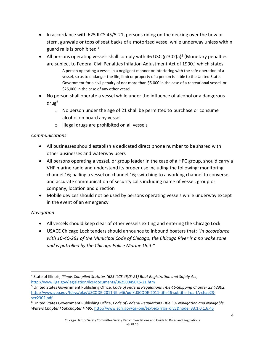- In accordance with 625 ILCS 45/5-21, persons riding on the decking over the bow or stern, gunwale or tops of seat backs of a motorized vessel while underway unless within guard rails is prohibited <sup>4</sup>
- All persons operating vessels shall comply with 46 USC §2302(a)<sup>5</sup> (Monetary penalties are subject to Federal Civil Penalties Inflation Adjustment Act of 1990.) which states: A person operating a vessel in a negligent manner or interfering with the safe operation of a vessel, so as to endanger the life, limb or property of a person is liable to the United States Government for a civil penalty of not more than \$5,000 in the case of a recreational vessel, or \$25,000 in the case of any other vessel.
- No person shall operate a vessel while under the influence of alcohol or a dangerous drug<sup>6</sup>
	- $\circ$  No person under the age of 21 shall be permitted to purchase or consume alcohol on board any vessel
	- o Illegal drugs are prohibited on all vessels

#### *Communications*

- All businesses should establish a dedicated direct phone number to be shared with other businesses and waterway users
- All persons operating a vessel, or group leader in the case of a HPC group, should carry a VHF marine radio and understand its proper use including the following: monitoring channel 16; hailing a vessel on channel 16; switching to a working channel to converse; and accurate communication of security calls including name of vessel, group or company, location and direction
- Mobile devices should not be used by persons operating vessels while underway except in the event of an emergency

#### *Navigation*

- All vessels should keep clear of other vessels exiting and entering the Chicago Lock
- USACE Chicago Lock tenders should announce to inbound boaters that: *"In accordance with 10-40-261 of the Municipal Code of Chicago, the Chicago River is a no wake zone and is patrolled by the Chicago Police Marine Unit."*

 $\overline{\phantom{a}}$ 4 State of Illinois, *Illinois Compiled Statutes (625 ILCS 45/5-21) Boat Registration and Safety Act,* <http://www.ilga.gov/legislation/ilcs/documents/062500450K5-21.htm>

<sup>5</sup> United States Government Publishing Office, *Code of Federal Regulations Title 46-Shipping Chapter 23 §2302,* [http://www.gpo.gov/fdsys/pkg/USCODE-2011-title46/pdf/USCODE-2011-title46-subtitleII-partA-chap23](http://www.gpo.gov/fdsys/pkg/USCODE-2011-title46/pdf/USCODE-2011-title46-subtitleII-partA-chap23-sec2302.pdf) [sec2302.pdf](http://www.gpo.gov/fdsys/pkg/USCODE-2011-title46/pdf/USCODE-2011-title46-subtitleII-partA-chap23-sec2302.pdf) 

<sup>6</sup> United States Government Publishing Office, *Code of Federal Regulations Title 33- Navigation and Navigable Waters Chapter I Subchapter F §95,* <http://www.ecfr.gov/cgi-bin/text-idx?rgn=div5&node=33:1.0.1.6.46>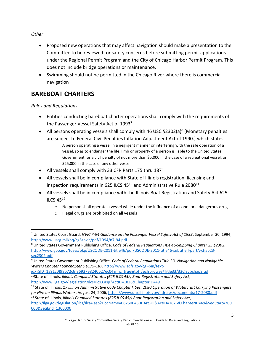#### *Other*

 $\overline{\phantom{a}}$ 

- Proposed new operations that may affect navigation should make a presentation to the Committee to be reviewed for safety concerns before submitting permit applications under the Regional Permit Program and the City of Chicago Harbor Permit Program. This does not include bridge operations or maintenance.
- Swimming should not be permitted in the Chicago River where there is commercial navigation

## **BAREBOAT CHARTERS**

*Rules and Regulations*

- Entities conducting bareboat charter operations shall comply with the requirements of the Passenger Vessel Safety Act of 1993<sup>7</sup>
- All persons operating vessels shall comply with 46 USC  $\S 2302(a)^8$  (Monetary penalties are subject to Federal Civil Penalties Inflation Adjustment Act of 1990.) which states:
	- A person operating a vessel in a negligent manner or interfering with the safe operation of a vessel, so as to endanger the life, limb or property of a person is liable to the United States Government for a civil penalty of not more than \$5,000 in the case of a recreational vessel, or \$25,000 in the case of any other vessel.
- All vessels shall comply with 33 CFR Parts 175 thru 187<sup>9</sup>
- All vessels shall be in compliance with State of Illinois registration, licensing and inspection requirements in 625 ILCS  $45^{10}$  and Administrative Rule 2080<sup>11</sup>
- All vessels shall be in compliance with the Illinois Boat Registration and Safety Act 625 ILCS 45<sup>12</sup>
	- o No person shall operate a vessel while under the influence of alcohol or a dangerous drug
	- o Illegal drugs are prohibited on all vessels

<sup>7</sup> United States Coast Guard, *NVIC 7-94 Guidance on the Passenger Vessel Safety Act of 1993*, September 30, 1994, <http://www.uscg.mil/hq/cg5/nvic/pdf/1994/n7-94.pdf>

<sup>8</sup> United States Government Publishing Office, *Code of Federal Regulations Title 46-Shipping Chapter 23 §2302*, [http://www.gpo.gov/fdsys/pkg/USCODE-2011-title46/pdf/USCODE-2011-title46-subtitleII-partA-chap23](http://www.gpo.gov/fdsys/pkg/USCODE-2011-title46/pdf/USCODE-2011-title46-subtitleII-partA-chap23-sec2302.pdf) [sec2302.pdf](http://www.gpo.gov/fdsys/pkg/USCODE-2011-title46/pdf/USCODE-2011-title46-subtitleII-partA-chap23-sec2302.pdf) 

<sup>9</sup>United States Government Publishing Office, *Code of Federal Regulations Title 33- Navigation and Navigable Waters Chapter I Subchapter S §175-187*, [http://www.ecfr.gov/cgi-bin/text-](http://www.ecfr.gov/cgi-bin/text-idx?SID=1a91c0f98b72c6f86937e8240b27ec04&mc=true&tpl=/ecfrbrowse/Title33/33CIsubchapS.tpl)

[idx?SID=1a91c0f98b72c6f86937e8240b27ec04&mc=true&tpl=/ecfrbrowse/Title33/33CIsubchapS.tpl](http://www.ecfr.gov/cgi-bin/text-idx?SID=1a91c0f98b72c6f86937e8240b27ec04&mc=true&tpl=/ecfrbrowse/Title33/33CIsubchapS.tpl)  <sup>10</sup>State of Illinois, *Illinois Compiled Statutes (625 ILCS 45/) Boat Registration and Safety Act,* <http://www.ilga.gov/legislation/ilcs/ilcs3.asp?ActID=1826&ChapterID=49>

<sup>11</sup> State of Illinois, *17 Illinois Administrative Code Chapter I, Sec. 2080 Operation of Watercraft Carrying Passengers for Hire on Illinois Waters*, August 24, 2006,<https://www.dnr.illinois.gov/adrules/documents/17-2080.pdf>

<sup>12</sup> State of Illinois, *Illinois Compiled Statutes (625 ILCS 45/) Boat Registration and Safety Act,* [http://ilga.gov/legislation/ilcs/ilcs4.asp?DocName=062500450HArt.+II&ActID=1826&ChapterID=49&SeqStart=700](http://ilga.gov/legislation/ilcs/ilcs4.asp?DocName=062500450HArt.+II&ActID=1826&ChapterID=49&SeqStart=700000&SeqEnd=1300000) [000&SeqEnd=1300000](http://ilga.gov/legislation/ilcs/ilcs4.asp?DocName=062500450HArt.+II&ActID=1826&ChapterID=49&SeqStart=700000&SeqEnd=1300000)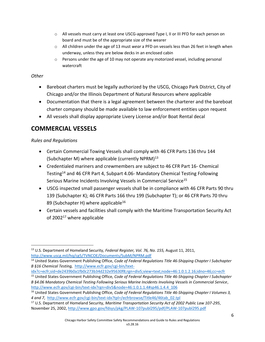- o All vessels must carry at least one USCG-approved Type I, II or III PFD for each person on board and must be of the appropriate size of the wearer
- o All children under the age of 13 must *wear* a PFD on vessels less than 26 feet in length when underway, unless they are below decks in an enclosed cabin
- $\circ$  Persons under the age of 10 may not operate any motorized vessel, including personal watercraft

#### *Other*

- Bareboat charters must be legally authorized by the USCG, Chicago Park District, City of Chicago and/or the Illinois Department of Natural Resources where applicable
- Documentation that there is a legal agreement between the charterer and the bareboat charter company should be made available to law enforcement entities upon request
- All vessels shall display appropriate Livery License and/or Boat Rental decal

## **COMMERCIAL VESSELS**

#### *Rules and Regulations*

- Certain Commercial Towing Vessels shall comply with 46 CFR Parts 136 thru 144 (Subchapter M) where applicable (currently NPRM)<sup>13</sup>
- Credentialed mariners and crewmembers are subject to 46 CFR Part 16- Chemical Testing<sup>14</sup> and 46 CFR Part 4, Subpart 4.06- Mandatory Chemical Testing Following Serious Marine Incidents Involving Vessels in Commercial Service<sup>15</sup>
- USCG inspected small passenger vessels shall be in compliance with 46 CFR Parts 90 thru 139 (Subchapter K); 46 CFR Parts 166 thru 199 (Subchapter T); or 46 CFR Parts 70 thru 89 (Subchapter H) where applicable<sup>16</sup>
- Certain vessels and facilities shall comply with the Maritime Transportation Security Act of  $2002^{17}$  where applicable

 $\overline{\phantom{a}}$ <sup>13</sup> U.S. Department of Homeland Security, *Federal Register, Vol. 76, No. 155,* August 11, 2011, <http://www.uscg.mil/hq/cg5/TVNCOE/Documents/SubM/NPRM.pdf>

<sup>14</sup> United States Government Publishing Office, *Code of Federal Regulations Title 46-Shipping Chapter I Subchapter B §16 Chemical Testing,* [http://www.ecfr.gov/cgi-bin/text-](http://www.ecfr.gov/cgi-bin/text-idx?c=ecfr;sid=de2439b0a1fb0c273b34d232e95630f8;rgn=div5;view=text;node=46:1.0.1.2.16;idno=46;cc=ecfr)

[idx?c=ecfr;sid=de2439b0a1fb0c273b34d232e95630f8;rgn=div5;view=text;node=46:1.0.1.2.16;idno=46;cc=ecfr](http://www.ecfr.gov/cgi-bin/text-idx?c=ecfr;sid=de2439b0a1fb0c273b34d232e95630f8;rgn=div5;view=text;node=46:1.0.1.2.16;idno=46;cc=ecfr)

<sup>15</sup> United States Government Publishing Office, *Code of Federal Regulations Title 46-Shipping Chapter I Subchapter B §4.06 Mandatory Chemical Testing Following Serious Marine Incidents Involving Vessels in Commercial Service*, [http://www.ecfr.gov/cgi-bin/text-idx?rgn=div5&node=46:1.0.1.1.4#sp46.1.4.4\\_106](http://www.ecfr.gov/cgi-bin/text-idx?rgn=div5&node=46:1.0.1.1.4#sp46.1.4.4_106)

<sup>16</sup> United States Government Publishing Office, *Code of Federal Regulations Title 46-Shipping Chapter I Volumes 3, 4 and 7*, [http://www.ecfr.gov/cgi-bin/text-idx?tpl=/ecfrbrowse/Title46/46tab\\_02.tpl](http://www.ecfr.gov/cgi-bin/text-idx?tpl=/ecfrbrowse/Title46/46tab_02.tpl)

<sup>17</sup> U.S. Department of Homeland Security, *Maritime Transportation Security Act of 2002 Public Law 107-295*, November 25, 2002,<http://www.gpo.gov/fdsys/pkg/PLAW-107publ295/pdf/PLAW-107publ295.pdf>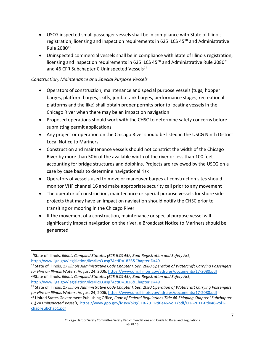- USCG inspected small passenger vessels shall be in compliance with State of Illinois registration, licensing and inspection requirements in 625 ILCS 45<sup>18</sup> and Administrative Rule 2080<sup>19</sup>
- Uninspected commercial vessels shall be in compliance with State of Illinois registration, licensing and inspection requirements in 625 ILCS 45 $^{20}$  and Administrative Rule 2080<sup>21</sup> and 46 CFR Subchapter C Uninspected Vessels<sup>22</sup>

#### *Construction, Maintenance and Special Purpose Vessels*

- Operators of construction, maintenance and special purpose vessels (tugs, hopper barges, platform barges, skiffs, jumbo tank barges, performance stages, recreational platforms and the like) shall obtain proper permits prior to locating vessels in the Chicago River when there may be an impact on navigation
- Proposed operations should work with the CHSC to determine safety concerns before submitting permit applications
- Any project or operation on the Chicago River should be listed in the USCG Ninth District Local Notice to Mariners
- Construction and maintenance vessels should not constrict the width of the Chicago River by more than 50% of the available width of the river or less than 100 feet accounting for bridge structures and dolphins. Projects are reviewed by the USCG on a case by case basis to determine navigational risk
- Operators of vessels used to move or maneuver barges at construction sites should monitor VHF channel 16 and make appropriate security call prior to any movement
- The operator of construction, maintenance or special purpose vessels for shore side projects that may have an impact on navigation should notify the CHSC prior to transiting or mooring in the Chicago River
- If the movement of a construction, maintenance or special purpose vessel will significantly impact navigation on the river, a Broadcast Notice to Mariners should be generated

 $\overline{a}$ <sup>18</sup>State of Illinois, *Illinois Compiled Statutes (625 ILCS 45/) Boat Registration and Safety Act,* <http://www.ilga.gov/legislation/ilcs/ilcs3.asp?ActID=1826&ChapterID=49>

<sup>19</sup> State of Illinois, *17 Illinois Administrative Code Chapter I, Sec. 2080 Operation of Watercraft Carrying Passengers for Hire on Illinois Waters*, August 24, 2006,<https://www.dnr.illinois.gov/adrules/documents/17-2080.pdf> <sup>20</sup>State of Illinois, *Illinois Compiled Statutes (625 ILCS 45/) Boat Registration and Safety Act,* <http://www.ilga.gov/legislation/ilcs/ilcs3.asp?ActID=1826&ChapterID=49>

<sup>21</sup> State of Illinois, *17 Illinois Administrative Code Chapter I, Sec. 2080 Operation of Watercraft Carrying Passengers for Hire on Illinois Waters*, August 24, 2006,<https://www.dnr.illinois.gov/adrules/documents/17-2080.pdf>

<sup>22</sup> United States Government Publishing Office, *Code of Federal Regulations Title 46-Shipping Chapter I Subchapter C §24 Uninspected Vessels,* [https://www.gpo.gov/fdsys/pkg/CFR-2011-title46-vol1/pdf/CFR-2011-title46-vol1](https://www.gpo.gov/fdsys/pkg/CFR-2011-title46-vol1/pdf/CFR-2011-title46-vol1-chapI-subchapC.pdf) [chapI-subchapC.pdf](https://www.gpo.gov/fdsys/pkg/CFR-2011-title46-vol1/pdf/CFR-2011-title46-vol1-chapI-subchapC.pdf)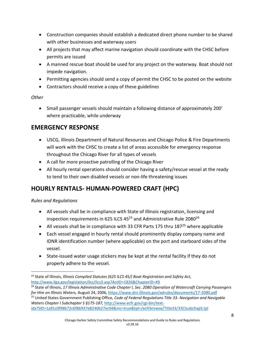- Construction companies should establish a dedicated direct phone number to be shared with other businesses and waterway users
- All projects that may affect marine navigation should coordinate with the CHSC before permits are issued
- A manned rescue boat should be used for any project on the waterway. Boat should not impede navigation.
- Permitting agencies should send a copy of permit the CHSC to be posted on the website
- Contractors should receive a copy of these guidelines

#### *Other*

 Small passenger vessels should maintain a following distance of approximately 200' where practicable, while underway

## **EMERGENCY RESPONSE**

- USCG, Illinois Department of Natural Resources and Chicago Police & Fire Departments will work with the CHSC to create a list of areas accessible for emergency response throughout the Chicago River for all types of vessels
- A call for more proactive patrolling of the Chicago River
- All hourly rental operations should consider having a safety/rescue vessel at the ready to tend to their own disabled vessels or non-life threatening issues

## **HOURLY RENTALS- HUMAN-POWERED CRAFT (HPC)**

#### *Rules and Regulations*

- All vessels shall be in compliance with State of Illinois registration, licensing and inspection requirements in 625 ILCS  $45^{23}$  and Administrative Rule 2080<sup>24</sup>
- All vessels shall be in compliance with 33 CFR Parts 175 thru  $187^{25}$  where applicable
- Each vessel engaged in hourly rental should prominently display company name and IDNR identification number (where applicable) on the port and starboard sides of the vessel.
- State-issued water usage stickers may be kept at the rental facility if they do not properly adhere to the vessel.

 $\overline{\phantom{a}}$ <sup>23</sup> State of Illinois, *Illinois Compiled Statutes (625 ILCS 45/) Boat Registration and Safety Act,* <http://www.ilga.gov/legislation/ilcs/ilcs3.asp?ActID=1826&ChapterID=49>

<sup>24</sup> State of Illinois, *17 Illinois Administrative Code Chapter I, Sec. 2080 Operation of Watercraft Carrying Passengers for Hire on Illinois Waters,* August 24, 2006,<https://www.dnr.illinois.gov/adrules/documents/17-2080.pdf>

<sup>25</sup> United States Government Publishing Office, *Code of Federal Regulations Title 33- Navigation and Navigable Waters Chapter I Subchapter S §175-187,* [http://www.ecfr.gov/cgi-bin/text](http://www.ecfr.gov/cgi-bin/text-idx?SID=1a91c0f98b72c6f86937e8240b27ec04&mc=true&tpl=/ecfrbrowse/Title33/33CIsubchapS.tpl)[idx?SID=1a91c0f98b72c6f86937e8240b27ec04&mc=true&tpl=/ecfrbrowse/Title33/33CIsubchapS.tpl](http://www.ecfr.gov/cgi-bin/text-idx?SID=1a91c0f98b72c6f86937e8240b27ec04&mc=true&tpl=/ecfrbrowse/Title33/33CIsubchapS.tpl)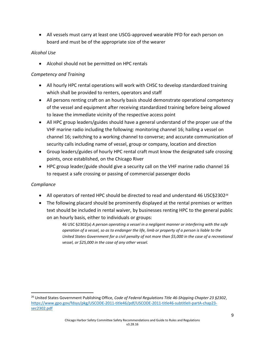All vessels must carry at least one USCG-approved wearable PFD for each person on board and must be of the appropriate size of the wearer

#### *Alcohol Use*

Alcohol should not be permitted on HPC rentals

#### *Competency and Training*

- All hourly HPC rental operations will work with CHSC to develop standardized training which shall be provided to renters, operators and staff
- All persons renting craft on an hourly basis should demonstrate operational competency of the vessel and equipment after receiving standardized training before being allowed to leave the immediate vicinity of the respective access point
- All HPC group leaders/guides should have a general understand of the proper use of the VHF marine radio including the following: monitoring channel 16; hailing a vessel on channel 16; switching to a working channel to converse; and accurate communication of security calls including name of vessel, group or company, location and direction
- Group leaders/guides of hourly HPC rental craft must know the designated safe crossing points, once established, on the Chicago River
- HPC group leader/guide should give a security call on the VHF marine radio channel 16 to request a safe crossing or passing of commercial passenger docks

#### *Compliance*

 $\overline{\phantom{a}}$ 

- All operators of rented HPC should be directed to read and understand 46 USC§2302<sup>26</sup>
- The following placard should be prominently displayed at the rental premises or written text should be included in rental waiver, by businesses renting HPC to the general public on an hourly basis, either to individuals or groups:

46 USC §2302(a) *A person operating a vessel in a negligent manner or interfering with the safe operation of a vessel, so as to endanger the life, limb or property of a person is liable to the United States Government for a civil penalty of not more than \$5,000 in the case of a recreational vessel, or \$25,000 in the case of any other vessel.*

<sup>26</sup> United States Government Publishing Office, *Code of Federal Regulations Title 46-Shipping Chapter 23 §2302*, [https://www.gpo.gov/fdsys/pkg/USCODE-2011-title46/pdf/USCODE-2011-title46-subtitleII-partA-chap23](https://www.gpo.gov/fdsys/pkg/USCODE-2011-title46/pdf/USCODE-2011-title46-subtitleII-partA-chap23-sec2302.pdf) [sec2302.pdf](https://www.gpo.gov/fdsys/pkg/USCODE-2011-title46/pdf/USCODE-2011-title46-subtitleII-partA-chap23-sec2302.pdf)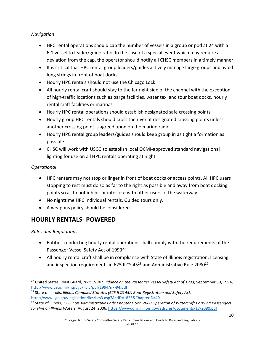#### *Navigation*

- HPC rental operations should cap the number of vessels in a group or pod at 24 with a 6:1 vessel to leader/guide ratio. In the case of a special event which may require a deviation from the cap, the operator should notify all CHSC members in a timely manner
- It is critical that HPC rental group leaders/guides actively manage large groups and avoid long strings in front of boat docks
- Hourly HPC rentals should not use the Chicago Lock
- All hourly rental craft should stay to the far right side of the channel with the exception of high-traffic locations such as barge facilities, water taxi and tour boat docks, hourly rental craft facilities or marinas
- Hourly HPC rental operations should establish designated safe crossing points
- Hourly group HPC rentals should cross the river at designated crossing points unless another crossing point is agreed upon on the marine radio
- Hourly HPC rental group leaders/guides should keep group in as tight a formation as possible
- CHSC will work with USCG to establish local OCMI-approved standard navigational lighting for use on all HPC rentals operating at night

#### *Operational*

- HPC renters may not stop or linger in front of boat docks or access points. All HPC users stopping to rest must do so as far to the right as possible and away from boat docking points so as to not inhibit or interfere with other users of the waterway.
- No nighttime HPC individual rentals. Guided tours only.
- A weapons policy should be considered

## **HOURLY RENTALS- POWERED**

*Rules and Regulations*

 $\overline{a}$ 

- Entities conducting hourly rental operations shall comply with the requirements of the Passenger Vessel Safety Act of 1993<sup>27</sup>
- All hourly rental craft shall be in compliance with State of Illinois registration, licensing and inspection requirements in 625 ILCS 45 $^{28}$  and Administrative Rule 2080 $^{29}$

<sup>27</sup> United States Coast Guard, *NVIC 7-94 Guidance on the Passenger Vessel Safety Act of 1993*, September 30, 1994, <http://www.uscg.mil/hq/cg5/nvic/pdf/1994/n7-94.pdf>

<sup>28</sup> State of Illinois, *Illinois Compiled Statutes (625 ILCS 45/) Boat Registration and Safety Act,* <http://www.ilga.gov/legislation/ilcs/ilcs3.asp?ActID=1826&ChapterID=49>

<sup>29</sup> State of Illinois, *17 Illinois Administrative Code Chapter I, Sec. 2080 Operation of Watercraft Carrying Passengers for Hire on Illinois Waters,* August 24, 2006,<https://www.dnr.illinois.gov/adrules/documents/17-2080.pdf>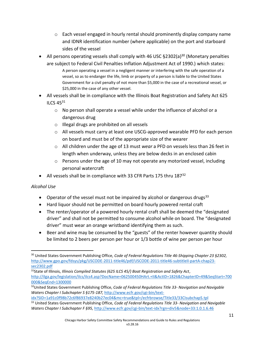- $\circ$  Each vessel engaged in hourly rental should prominently display company name and IDNR identification number (where applicable) on the port and starboard sides of the vessel
- All persons operating vessels shall comply with 46 USC  $\S 2302(a)^{30}$  (Monetary penalties are subject to Federal Civil Penalties Inflation Adjustment Act of 1990.) which states: A person operating a vessel in a negligent manner or interfering with the safe operation of a
	- vessel, so as to endanger the life, limb or property of a person is liable to the United States Government for a civil penalty of not more than \$5,000 in the case of a recreational vessel, or \$25,000 in the case of any other vessel.
- All vessels shall be in compliance with the Illinois Boat Registration and Safety Act 625 ILCS 45<sup>31</sup>
	- $\circ$  No person shall operate a vessel while under the influence of alcohol or a dangerous drug
	- o Illegal drugs are prohibited on all vessels
	- o All vessels must carry at least one USCG-approved wearable PFD for each person on board and must be of the appropriate size of the wearer
	- o All children under the age of 13 must *wear* a PFD on vessels less than 26 feet in length when underway, unless they are below decks in an enclosed cabin
	- $\circ$  Persons under the age of 10 may not operate any motorized vessel, including personal watercraft
- All vessels shall be in compliance with 33 CFR Parts 175 thru  $187^{32}$

#### *Alcohol Use*

 $\overline{a}$ 

- Operator of the vessel must not be impaired by alcohol or dangerous drugs<sup>33</sup>
- Hard liquor should not be permitted on board hourly powered rental craft
- The renter/operator of a powered hourly rental craft shall be deemed the "designated driver" and shall not be permitted to consume alcohol while on board. The "designated driver" must wear an orange wristband identifying them as such.
- Beer and wine may be consumed by the "guests" of the renter however quantity should be limited to 2 beers per person per hour or 1/3 bottle of wine per person per hour

<sup>30</sup> United States Government Publishing Office, *Code of Federal Regulations Title 46-Shipping Chapter 23 §2302,* [http://www.gpo.gov/fdsys/pkg/USCODE-2011-title46/pdf/USCODE-2011-title46-subtitleII-partA-chap23](http://www.gpo.gov/fdsys/pkg/USCODE-2011-title46/pdf/USCODE-2011-title46-subtitleII-partA-chap23-sec2302.pdf) [sec2302.pdf](http://www.gpo.gov/fdsys/pkg/USCODE-2011-title46/pdf/USCODE-2011-title46-subtitleII-partA-chap23-sec2302.pdf)

<sup>31</sup>State of Illinois, *Illinois Compiled Statutes (625 ILCS 45/) Boat Registration and Safety Act*, [http://ilga.gov/legislation/ilcs/ilcs4.asp?DocName=062500450HArt.+II&ActID=1826&ChapterID=49&SeqStart=700](http://ilga.gov/legislation/ilcs/ilcs4.asp?DocName=062500450HArt.+II&ActID=1826&ChapterID=49&SeqStart=700000&SeqEnd=1300000) [000&SeqEnd=1300000](http://ilga.gov/legislation/ilcs/ilcs4.asp?DocName=062500450HArt.+II&ActID=1826&ChapterID=49&SeqStart=700000&SeqEnd=1300000) 

<sup>32</sup>United States Government Publishing Office, *Code of Federal Regulations Title 33- Navigation and Navigable Waters Chapter I Subchapter S §175-187,* [http://www.ecfr.gov/cgi-bin/text-](http://www.ecfr.gov/cgi-bin/text-idx?SID=1a91c0f98b72c6f86937e8240b27ec04&mc=true&tpl=/ecfrbrowse/Title33/33CIsubchapS.tpl)

[idx?SID=1a91c0f98b72c6f86937e8240b27ec04&mc=true&tpl=/ecfrbrowse/Title33/33CIsubchapS.tpl](http://www.ecfr.gov/cgi-bin/text-idx?SID=1a91c0f98b72c6f86937e8240b27ec04&mc=true&tpl=/ecfrbrowse/Title33/33CIsubchapS.tpl)  <sup>33</sup> United States Government Publishing Office, *Code of Federal Regulations Title 33- Navigation and Navigable Waters Chapter I Subchapter F §95,* <http://www.ecfr.gov/cgi-bin/text-idx?rgn=div5&node=33:1.0.1.6.46>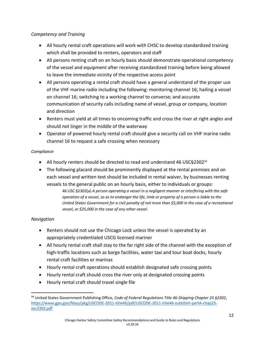#### *Competency and Training*

- All hourly rental craft operations will work with CHSC to develop standardized training which shall be provided to renters, operators and staff
- All persons renting craft on an hourly basis should demonstrate operational competency of the vessel and equipment after receiving standardized training before being allowed to leave the immediate vicinity of the respective access point
- All persons operating a rental craft should have a general understand of the proper use of the VHF marine radio including the following: monitoring channel 16; hailing a vessel on channel 16; switching to a working channel to converse; and accurate communication of security calls including name of vessel, group or company, location and direction
- Renters must yield at all times to oncoming traffic and cross the river at right angles and should not linger in the middle of the waterway
- Operator of powered hourly rental craft should give a security call on VHF marine radio channel 16 to request a safe crossing when necessary

#### *Compliance*

- All hourly renters should be directed to read and understand 46 USC§2302*<sup>34</sup>*
- The following placard should be prominently displayed at the rental premises and on each vessel and written text should be included in rental waiver, by businesses renting vessels to the general public on an hourly basis, either to individuals or groups:

46 USC §2302(a) *A person operating a vessel in a negligent manner or interfering with the safe operation of a vessel, so as to endanger the life, limb or property of a person is liable to the United States Government for a civil penalty of not more than \$5,000 in the case of a recreational vessel, or \$25,000 in the case of any other vessel.*

#### *Navigation*

- Renters should not use the Chicago Lock unless the vessel is operated by an appropriately credentialed USCG licensed mariner
- All hourly rental craft shall stay to the far right side of the channel with the exception of high-traffic locations such as barge facilities, water taxi and tour boat docks, hourly rental craft facilities or marinas
- Hourly rental craft operations should establish designated safe crossing points
- Hourly rental craft should cross the river only at designated crossing points
- Hourly rental craft should travel single file

 $\overline{\phantom{a}}$ <sup>34</sup> United States Government Publishing Office, *Code of Federal Regulations Title 46-Shipping Chapter 23 §2302*, [https://www.gpo.gov/fdsys/pkg/USCODE-2011-title46/pdf/USCODE-2011-title46-subtitleII-partA-chap23](https://www.gpo.gov/fdsys/pkg/USCODE-2011-title46/pdf/USCODE-2011-title46-subtitleII-partA-chap23-sec2302.pdf) [sec2302.pdf](https://www.gpo.gov/fdsys/pkg/USCODE-2011-title46/pdf/USCODE-2011-title46-subtitleII-partA-chap23-sec2302.pdf)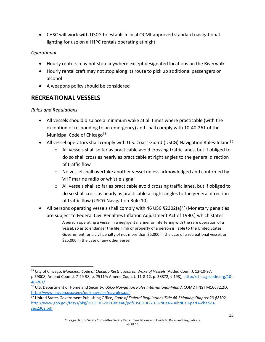CHSC will work with USCG to establish local OCMI-approved standard navigational lighting for use on all HPC rentals operating at night

#### *Operational*

- Hourly renters may not stop anywhere except designated locations on the Riverwalk
- Hourly rental craft may not stop along its route to pick up additional passengers or alcohol
- A weapons policy should be considered

## **RECREATIONAL VESSELS**

#### *Rules and Regulations*

 $\overline{\phantom{a}}$ 

- All vessels should displace a minimum wake at all times where practicable (with the exception of responding to an emergency) and shall comply with 10-40-261 of the Municipal Code of Chicago<sup>35</sup>
- All vessel operators shall comply with U.S. Coast Guard (USCG) Navigation Rules-Inland<sup>36</sup>
	- $\circ$  All vessels shall so far as practicable avoid crossing traffic lanes, but if obliged to do so shall cross as nearly as practicable at right angles to the general direction of traffic flow
	- $\circ$  No vessel shall overtake another vessel unless acknowledged and confirmed by VHF marine radio or whistle signal
	- o All vessels shall so far as practicable avoid crossing traffic lanes, but if obliged to do so shall cross as nearly as practicable at right angles to the general direction of traffic flow (USCG Navigation Rule 10)
- All persons operating vessels shall comply with 46 USC  $\S 2302(a)^{37}$  (Monetary penalties are subject to Federal Civil Penalties Inflation Adjustment Act of 1990.) which states:

A person operating a vessel in a negligent manner or interfering with the safe operation of a vessel, so as to endanger the life, limb or property of a person is liable to the United States Government for a civil penalty of not more than \$5,000 in the case of a recreational vessel, or \$25,000 in the case of any other vessel.

13

<sup>35</sup> City of Chicago, *Municipal Code of Chicago Restrictions on Wake of Vessels* (Added Coun. J. 12-10-97, p.59008; Amend Coun. J. 7-29-98, p. 75119; Amend Coun. J. 11-8-12, p. 38872, § 193), [http://chicagocode.org/10-](http://chicagocode.org/10-40-261/) [40-261/](http://chicagocode.org/10-40-261/)

<sup>36</sup> U.S. Department of Homeland Security, *USCG Navigation Rules International-Inland*, COMDTINST M16672.2D, <http://www.navcen.uscg.gov/pdf/navrules/navrules.pdf>

<sup>37</sup> United States Government Publishing Office, *Code of Federal Regulations Title 46-Shipping Chapter 23 §2302*, [http://www.gpo.gov/fdsys/pkg/USCODE-2011-title46/pdf/USCODE-2011-title46-subtitleII-partA-chap23](http://www.gpo.gov/fdsys/pkg/USCODE-2011-title46/pdf/USCODE-2011-title46-subtitleII-partA-chap23-sec2302.pdf) [sec2302.pdf](http://www.gpo.gov/fdsys/pkg/USCODE-2011-title46/pdf/USCODE-2011-title46-subtitleII-partA-chap23-sec2302.pdf)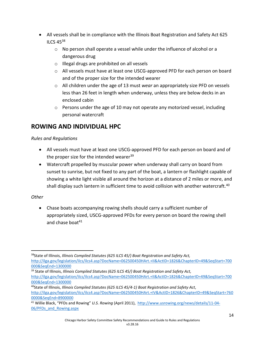- All vessels shall be in compliance with the Illinois Boat Registration and Safety Act 625 ILCS 45<sup>38</sup>
	- $\circ$  No person shall operate a vessel while under the influence of alcohol or a dangerous drug
	- o Illegal drugs are prohibited on all vessels
	- o All vessels must have at least one USCG-approved PFD for each person on board and of the proper size for the intended wearer
	- o All children under the age of 13 must *wear* an appropriately size PFD on vessels less than 26 feet in length when underway, unless they are below decks in an enclosed cabin
	- $\circ$  Persons under the age of 10 may not operate any motorized vessel, including personal watercraft

## **ROWING AND INDIVIDUAL HPC**

#### *Rules and Regulations*

- All vessels must have at least one USCG-approved PFD for each person on board and of the proper size for the intended wearer $39$
- Watercraft propelled by muscular power when underway shall carry on board from sunset to sunrise, but not fixed to any part of the boat, a lantern or flashlight capable of showing a white light visible all around the horizon at a distance of 2 miles or more, and shall display such lantern in sufficient time to avoid collision with another watercraft.<sup>40</sup>

#### *Other*

 $\overline{a}$ 

 Chase boats accompanying rowing shells should carry a sufficient number of appropriately sized, USCG-approved PFDs for every person on board the rowing shell and chase boat<sup>41</sup>

<sup>38</sup>State of Illinois, *Illinois Compiled Statutes (625 ILCS 45/) Boat Registration and Safety Act,*  [http://ilga.gov/legislation/ilcs/ilcs4.asp?DocName=062500450HArt.+II&ActID=1826&ChapterID=49&SeqStart=700](http://ilga.gov/legislation/ilcs/ilcs4.asp?DocName=062500450HArt.+II&ActID=1826&ChapterID=49&SeqStart=700000&SeqEnd=1300000) [000&SeqEnd=1300000](http://ilga.gov/legislation/ilcs/ilcs4.asp?DocName=062500450HArt.+II&ActID=1826&ChapterID=49&SeqStart=700000&SeqEnd=1300000) 

<sup>39</sup> State of Illinois, *Illinois Compiled Statutes (625 ILCS 45/) Boat Registration and Safety Act,* [http://ilga.gov/legislation/ilcs/ilcs4.asp?DocName=062500450HArt.+II&ActID=1826&ChapterID=49&SeqStart=700](http://ilga.gov/legislation/ilcs/ilcs4.asp?DocName=062500450HArt.+II&ActID=1826&ChapterID=49&SeqStart=700000&SeqEnd=1300000) [000&SeqEnd=1300000](http://ilga.gov/legislation/ilcs/ilcs4.asp?DocName=062500450HArt.+II&ActID=1826&ChapterID=49&SeqStart=700000&SeqEnd=1300000) 

<sup>40</sup>State of Illinois, *Illinois Compiled Statutes (625 ILCS 45/4-1) Boat Registration and Safety Act*,

[http://ilga.gov/legislation/ilcs/ilcs4.asp?DocName=062500450HArt.+IV&ActID=1826&ChapterID=49&SeqStart=760](http://ilga.gov/legislation/ilcs/ilcs4.asp?DocName=062500450HArt.+IV&ActID=1826&ChapterID=49&SeqStart=7600000&SeqEnd=8900000) [0000&SeqEnd=8900000](http://ilga.gov/legislation/ilcs/ilcs4.asp?DocName=062500450HArt.+IV&ActID=1826&ChapterID=49&SeqStart=7600000&SeqEnd=8900000)

<sup>41</sup> Willie Black, "PFDs and Rowing" *U.S. Rowing* (April 2011), [http://www.usrowing.org/news/details/11-04-](http://www.usrowing.org/news/details/11-04-06/PFDs_and_Rowing.aspx) [06/PFDs\\_and\\_Rowing.aspx](http://www.usrowing.org/news/details/11-04-06/PFDs_and_Rowing.aspx)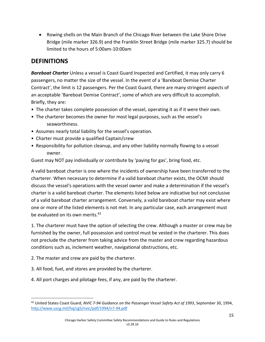Rowing shells on the Main Branch of the Chicago River between the Lake Shore Drive Bridge (mile marker 326.9) and the Franklin Street Bridge (mile marker 325.7) should be limited to the hours of 5:00am-10:00am

## **DEFINITIONS**

*Bareboat Charter* Unless a vessel is Coast Guard Inspected and Certified, it may only carry 6 passengers, no matter the size of the vessel. In the event of a 'Bareboat Demise Charter Contract', the limit is 12 passengers. Per the Coast Guard, there are many stringent aspects of an acceptable 'Bareboat Demise Contract', some of which are very difficult to accomplish. Briefly, they are:

- The charter takes complete possession of the vessel, operating it as if it were their own.
- The charterer becomes the owner for most legal purposes, such as the vessel's seaworthiness.
- Assumes nearly total liability for the vessel's operation.
- Charter must provide a qualified Captain/crew
- Responsibility for pollution cleanup, and any other liability normally flowing to a vessel owner.

Guest may NOT pay individually or contribute by 'paying for gas', bring food, etc.

A valid bareboat charter is one where the incidents of ownership have been transferred to the charterer. When necessary to determine if a valid bareboat charter exists, the OCMI should discuss the vessel's operations with the vessel owner and make a determination if the vessel's charter is a valid bareboat charter. The elements listed below are indicative but not conclusive of a valid bareboat charter arrangement. Conversely, a valid bareboat charter may exist where one or more of the listed elements is not met. In any particular case, each arrangement must be evaluated on its own merits.<sup>42</sup>

1. The charterer must have the option of selecting the crew. Although a master or crew may be furnished by the owner, full possession and control must be vested in the charterer. This does not preclude the charterer from taking advice from the master and crew regarding hazardous conditions such as, inclement weather, navigational obstructions, etc.

- 2. The master and crew are paid by the charterer.
- 3. All food, fuel, and stores are provided by the charterer.
- 4. All port charges and pilotage fees, if any, are paid by the charterer.

l <sup>42</sup> United States Coast Guard, *NVIC 7-94 Guidance on the Passenger Vessel Safety Act of 1993*, September 30, 1994, <http://www.uscg.mil/hq/cg5/nvic/pdf/1994/n7-94.pdf>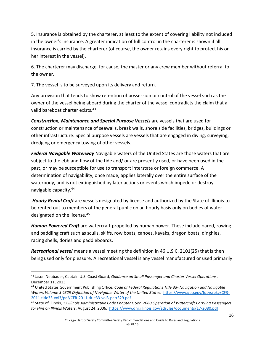5. Insurance is obtained by the charterer, at least to the extent of covering liability not included in the owner's insurance. A greater indication of full control in the charterer is shown if all insurance is carried by the charterer (of course, the owner retains every right to protect his or her interest in the vessel).

6. The charterer may discharge, for cause, the master or any crew member without referral to the owner.

7. The vessel is to be surveyed upon its delivery and return.

Any provision that tends to show retention of possession or control of the vessel such as the owner of the vessel being aboard during the charter of the vessel contradicts the claim that a valid bareboat charter exists.<sup>43</sup>

*Construction, Maintenance and Special Purpose Vessels* are vessels that are used for construction or maintenance of seawalls, break walls, shore side facilities, bridges, buildings or other infrastructure. Special purpose vessels are vessels that are engaged in diving, surveying, dredging or emergency towing of other vessels.

*Federal Navigable Waterway* Navigable waters of the United States are those waters that are subject to the ebb and flow of the tide and/ or are presently used, or have been used in the past, or may be susceptible for use to transport interstate or foreign commerce. A determination of navigability, once made, applies laterally over the entire surface of the waterbody, and is not extinguished by later actions or events which impede or destroy navigable capacity.<sup>44</sup>

*Hourly Rental Craft* are vessels designated by license and authorized by the State of Illinois to be rented out to members of the general public on an hourly basis only on bodies of water designated on the license.<sup>45</sup>

*Human-Powered Craft* are watercraft propelled by human power. These include oared, rowing and paddling craft such as sculls, skiffs, row boats, canoes, kayaks, dragon boats, dinghies, racing shells, dories and paddleboards.

*Recreational vessel* means a vessel meeting the definition in 46 U.S.C. 2101(25) that is then being used only for pleasure. A recreational vessel is any vessel manufactured or used primarily

 $\overline{\phantom{a}}$ <sup>43</sup> Jason Neubauer, Captain U.S. Coast Guard, *Guidance on Small Passenger and Charter Vessel Operations*, December 11, 2013.

<sup>44</sup> United States Government Publishing Office, *Code of Federal Regulations Title 33- Navigation and Navigable Waters Volume 3 §329 Definition of Navigable Water of the United States,* [https://www.gpo.gov/fdsys/pkg/CFR-](https://www.gpo.gov/fdsys/pkg/CFR-2011-title33-vol3/pdf/CFR-2011-title33-vol3-part329.pdf)[2011-title33-vol3/pdf/CFR-2011-title33-vol3-part329.pdf](https://www.gpo.gov/fdsys/pkg/CFR-2011-title33-vol3/pdf/CFR-2011-title33-vol3-part329.pdf)

<sup>45</sup> State of Illinois, *17 Illinois Administrative Code Chapter I, Sec. 2080 Operation of Watercraft Carrying Passengers for Hire on Illinois Waters*, August 24, 2006,<https://www.dnr.illinois.gov/adrules/documents/17-2080.pdf>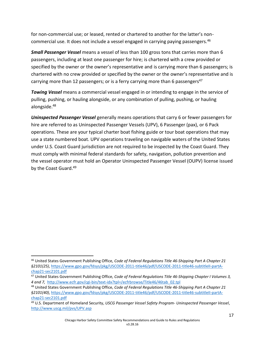for non-commercial use; or leased, rented or chartered to another for the latter's noncommercial use. It does not include a vessel engaged in carrying paying passengers.<sup>46</sup>

*Small Passenger Vessel* means a vessel of less than 100 gross tons that carries more than 6 passengers, including at least one passenger for hire; is chartered with a crew provided or specified by the owner or the owner's representative and is carrying more than 6 passengers; is chartered with no crew provided or specified by the owner or the owner's representative and is carrying more than 12 passengers; or is a ferry carrying more than 6 passengers<sup>47</sup>

*Towing Vessel* means a commercial vessel engaged in or intending to engage in the service of pulling, pushing, or hauling alongside, or any combination of pulling, pushing, or hauling alongside. 48

*Uninspected Passenger Vessel* generally means operations that carry 6 or fewer passengers for hire are referred to as Uninspected Passenger Vessels (UPV), 6 Passenger (pax), or 6 Pack operations. These are your typical charter boat fishing guide or tour boat operations that may use a state numbered boat. UPV operations traveling on navigable waters of the United States under U.S. Coast Guard jurisdiction are not required to be inspected by the Coast Guard. They must comply with minimal federal standards for safety, navigation, pollution prevention and the vessel operator must hold an Operator Uninspected Passenger Vessel (OUPV) license issued by the Coast Guard.<sup>49</sup>

 $\overline{\phantom{a}}$ 

<sup>46</sup> United States Government Publishing Office, *Code of Federal Regulations Title 46-Shipping Part A Chapter 21 §2101(25)*, [https://www.gpo.gov/fdsys/pkg/USCODE-2011-title46/pdf/USCODE-2011-title46-subtitleII-partA](https://www.gpo.gov/fdsys/pkg/USCODE-2011-title46/pdf/USCODE-2011-title46-subtitleII-partA-chap21-sec2101.pdf)[chap21-sec2101.pdf](https://www.gpo.gov/fdsys/pkg/USCODE-2011-title46/pdf/USCODE-2011-title46-subtitleII-partA-chap21-sec2101.pdf)

<sup>47</sup> United States Government Publishing Office, *Code of Federal Regulations Title 46-Shipping Chapter I Volumes 3, 4 and 7,* [http://www.ecfr.gov/cgi-bin/text-idx?tpl=/ecfrbrowse/Title46/46tab\\_02.tpl](http://www.ecfr.gov/cgi-bin/text-idx?tpl=/ecfrbrowse/Title46/46tab_02.tpl)

<sup>48</sup> United States Government Publishing Office, *Code of Federal Regulations Title 46-Shipping Part A Chapter 21 §2101(40)*, [https://www.gpo.gov/fdsys/pkg/USCODE-2011-title46/pdf/USCODE-2011-title46-subtitleII-partA](https://www.gpo.gov/fdsys/pkg/USCODE-2011-title46/pdf/USCODE-2011-title46-subtitleII-partA-chap21-sec2101.pdf)[chap21-sec2101.pdf](https://www.gpo.gov/fdsys/pkg/USCODE-2011-title46/pdf/USCODE-2011-title46-subtitleII-partA-chap21-sec2101.pdf) 

<sup>49</sup> U.S. Department of Homeland Security, *USCG Passenger Vessel Safety Program- Uninspected Passenger Vessel*, <http://www.uscg.mil/pvs/UPV.asp>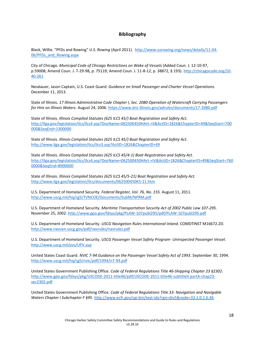#### **Bibliography**

Black, Willie. "PFDs and Rowing" *U.S. Rowing* (April 2011). [http://www.usrowing.org/news/details/11-04-](http://www.usrowing.org/news/details/11-04-06/PFDs_and_Rowing.aspx) [06/PFDs\\_and\\_Rowing.aspx](http://www.usrowing.org/news/details/11-04-06/PFDs_and_Rowing.aspx)

City of Chicago. *Municipal Code of Chicago Restrictions on Wake of Vessels* (Added Coun. J. 12-10-97, p.59008; Amend Coun. J. 7-29-98, p. 75119; Amend Coun. J. 11-8-12, p. 38872, § 193). [http://chicagocode.org/10-](http://chicagocode.org/10-40-261) [40-261](http://chicagocode.org/10-40-261)

Neubauer, Jason Captain, U.S. Coast Guard. *Guidance on Small Passenger and Charter Vessel Operations*. December 11, 2013.

State of Illinois. *17 Illinois Administrative Code Chapter I, Sec. 2080 Operation of Watercraft Carrying Passengers for Hire on Illinois Waters*. August 24, 2006. <https://www.dnr.illinois.gov/adrules/documents/17-2080.pdf>

State of Illinois. *Illinois Compiled Statutes (625 ILCS 45/) Boat Registration and Safety Act.* [http://ilga.gov/legislation/ilcs/ilcs4.asp?DocName=062500450HArt.+II&ActID=1826&ChapterID=49&SeqStart=700](http://ilga.gov/legislation/ilcs/ilcs4.asp?DocName=062500450HArt.+II&ActID=1826&ChapterID=49&SeqStart=700000&SeqEnd=1300000) [000&SeqEnd=1300000](http://ilga.gov/legislation/ilcs/ilcs4.asp?DocName=062500450HArt.+II&ActID=1826&ChapterID=49&SeqStart=700000&SeqEnd=1300000) 

State of Illinois. *Illinois Compiled Statutes (625 ILCS 45/) Boat Registration and Safety Act.*  <http://www.ilga.gov/legislation/ilcs/ilcs3.asp?ActID=1826&ChapterID=49>

State of Illinois. *Illinois Compiled Statutes (625 ILCS 45/4-1) Boat Registration and Safety Act*. [http://ilga.gov/legislation/ilcs/ilcs4.asp?DocName=062500450HArt.+IV&ActID=1826&ChapterID=49&SeqStart=760](http://ilga.gov/legislation/ilcs/ilcs4.asp?DocName=062500450HArt.+IV&ActID=1826&ChapterID=49&SeqStart=7600000&SeqEnd=8900000) [0000&SeqEnd=8900000](http://ilga.gov/legislation/ilcs/ilcs4.asp?DocName=062500450HArt.+IV&ActID=1826&ChapterID=49&SeqStart=7600000&SeqEnd=8900000)

State of Illinois. *Illinois Compiled Statutes (625 ILCS 45/5-21) Boat Registration and Safety Act.* <http://www.ilga.gov/legislation/ilcs/documents/062500450K5-21.htm>

U.S. Department of Homeland Security. *Federal Register, Vol. 76, No. 155.* August 11, 2011. <http://www.uscg.mil/hq/cg5/TVNCOE/Documents/SubM/NPRM.pdf>

U.S. Department of Homeland Security. *Maritime Transportation Security Act of 2002 Public Law 107-295*. November 25, 2002. <http://www.gpo.gov/fdsys/pkg/PLAW-107publ295/pdf/PLAW-107publ295.pdf>

U.S. Department of Homeland Security. *USCG Navigation Rules International-Inland*. COMDTINST M16672.2D. <http://www.navcen.uscg.gov/pdf/navrules/navrules.pdf>

U.S. Department of Homeland Security. *USCG Passenger Vessel Safety Program- Uninspected Passenger Vessel*. <http://www.uscg.mil/pvs/UPV.asp>

United States Coast Guard. *NVIC 7-94 Guidance on the Passenger Vessel Safety Act of 1993*. September 30, 1994. <http://www.uscg.mil/hq/cg5/nvic/pdf/1994/n7-94.pdf>

United States Government Publishing Office. *Code of Federal Regulations Title 46-Shipping Chapter 23 §2302.* [http://www.gpo.gov/fdsys/pkg/USCODE-2011-title46/pdf/USCODE-2011-title46-subtitleII-partA-chap23](http://www.gpo.gov/fdsys/pkg/USCODE-2011-title46/pdf/USCODE-2011-title46-subtitleII-partA-chap23-sec2302.pdf) [sec2302.pdf](http://www.gpo.gov/fdsys/pkg/USCODE-2011-title46/pdf/USCODE-2011-title46-subtitleII-partA-chap23-sec2302.pdf) 

United States Government Publishing Office. *Code of Federal Regulations Title 33- Navigation and Navigable Waters Chapter I Subchapter F §95.* <http://www.ecfr.gov/cgi-bin/text-idx?rgn=div5&node=33:1.0.1.6.46>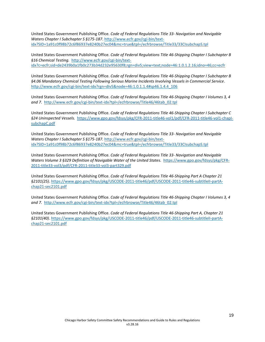United States Government Publishing Office. *Code of Federal Regulations Title 33- Navigation and Navigable Waters Chapter I Subchapter S §175-187*. [http://www.ecfr.gov/cgi-bin/text](http://www.ecfr.gov/cgi-bin/text-idx?SID=1a91c0f98b72c6f86937e8240b27ec04&mc=true&tpl=/ecfrbrowse/Title33/33CIsubchapS.tpl)[idx?SID=1a91c0f98b72c6f86937e8240b27ec04&mc=true&tpl=/ecfrbrowse/Title33/33CIsubchapS.tpl](http://www.ecfr.gov/cgi-bin/text-idx?SID=1a91c0f98b72c6f86937e8240b27ec04&mc=true&tpl=/ecfrbrowse/Title33/33CIsubchapS.tpl) 

United States Government Publishing Office. *Code of Federal Regulations Title 46-Shipping Chapter I Subchapter B §16 Chemical Testing.* [http://www.ecfr.gov/cgi-bin/text](http://www.ecfr.gov/cgi-bin/text-idx?c=ecfr;sid=de2439b0a1fb0c273b34d232e95630f8;rgn=div5;view=text;node=46:1.0.1.2.16;idno=46;cc=ecfr)[idx?c=ecfr;sid=de2439b0a1fb0c273b34d232e95630f8;rgn=div5;view=text;node=46:1.0.1.2.16;idno=46;cc=ecfr](http://www.ecfr.gov/cgi-bin/text-idx?c=ecfr;sid=de2439b0a1fb0c273b34d232e95630f8;rgn=div5;view=text;node=46:1.0.1.2.16;idno=46;cc=ecfr)

United States Government Publishing Office. *Code of Federal Regulations Title 46-Shipping Chapter I Subchapter B §4.06 Mandatory Chemical Testing Following Serious Marine Incidents Involving Vessels in Commercial Service*. [http://www.ecfr.gov/cgi-bin/text-idx?rgn=div5&node=46:1.0.1.1.4#sp46.1.4.4\\_106](http://www.ecfr.gov/cgi-bin/text-idx?rgn=div5&node=46:1.0.1.1.4#sp46.1.4.4_106)

United States Government Publishing Office. *Code of Federal Regulations Title 46-Shipping Chapter I Volumes 3, 4 and 7*. [http://www.ecfr.gov/cgi-bin/text-idx?tpl=/ecfrbrowse/Title46/46tab\\_02.tpl](http://www.ecfr.gov/cgi-bin/text-idx?tpl=/ecfrbrowse/Title46/46tab_02.tpl)

United States Government Publishing Office. *Code of Federal Regulations Title 46-Shipping Chapter I Subchapter C §24 Uninspected Vessels.* [https://www.gpo.gov/fdsys/pkg/CFR-2011-title46-vol1/pdf/CFR-2011-title46-vol1-chapI](https://www.gpo.gov/fdsys/pkg/CFR-2011-title46-vol1/pdf/CFR-2011-title46-vol1-chapI-subchapC.pdf)[subchapC.pdf](https://www.gpo.gov/fdsys/pkg/CFR-2011-title46-vol1/pdf/CFR-2011-title46-vol1-chapI-subchapC.pdf)

United States Government Publishing Office. *Code of Federal Regulations Title 33- Navigation and Navigable Waters Chapter I Subchapter S §175-187.* [http://www.ecfr.gov/cgi-bin/text](http://www.ecfr.gov/cgi-bin/text-idx?SID=1a91c0f98b72c6f86937e8240b27ec04&mc=true&tpl=/ecfrbrowse/Title33/33CIsubchapS.tpl)[idx?SID=1a91c0f98b72c6f86937e8240b27ec04&mc=true&tpl=/ecfrbrowse/Title33/33CIsubchapS.tpl](http://www.ecfr.gov/cgi-bin/text-idx?SID=1a91c0f98b72c6f86937e8240b27ec04&mc=true&tpl=/ecfrbrowse/Title33/33CIsubchapS.tpl)

United States Government Publishing Office. *Code of Federal Regulations Title 33- Navigation and Navigable Waters Volume 3 §329 Definition of Navigable Water of the United States.* [https://www.gpo.gov/fdsys/pkg/CFR-](https://www.gpo.gov/fdsys/pkg/CFR-2011-title33-vol3/pdf/CFR-2011-title33-vol3-part329.pdf)[2011-title33-vol3/pdf/CFR-2011-title33-vol3-part329.pdf](https://www.gpo.gov/fdsys/pkg/CFR-2011-title33-vol3/pdf/CFR-2011-title33-vol3-part329.pdf)

United States Government Publishing Office. *Code of Federal Regulations Title 46-Shipping Part A Chapter 21 §2101(25)*. [https://www.gpo.gov/fdsys/pkg/USCODE-2011-title46/pdf/USCODE-2011-title46-subtitleII-partA](https://www.gpo.gov/fdsys/pkg/USCODE-2011-title46/pdf/USCODE-2011-title46-subtitleII-partA-chap21-sec2101.pdf)[chap21-sec2101.pdf](https://www.gpo.gov/fdsys/pkg/USCODE-2011-title46/pdf/USCODE-2011-title46-subtitleII-partA-chap21-sec2101.pdf)

United States Government Publishing Office. *Code of Federal Regulations Title 46-Shipping Chapter I Volumes 3, 4 and 7.* [http://www.ecfr.gov/cgi-bin/text-idx?tpl=/ecfrbrowse/Title46/46tab\\_02.tpl](http://www.ecfr.gov/cgi-bin/text-idx?tpl=/ecfrbrowse/Title46/46tab_02.tpl)

United States Government Publishing Office. *Code of Federal Regulations Title 46-Shipping Part A, Chapter 21 §2101(40)*. [https://www.gpo.gov/fdsys/pkg/USCODE-2011-title46/pdf/USCODE-2011-title46-subtitleII-partA](https://www.gpo.gov/fdsys/pkg/USCODE-2011-title46/pdf/USCODE-2011-title46-subtitleII-partA-chap21-sec2101.pdf)[chap21-sec2101.pdf](https://www.gpo.gov/fdsys/pkg/USCODE-2011-title46/pdf/USCODE-2011-title46-subtitleII-partA-chap21-sec2101.pdf)